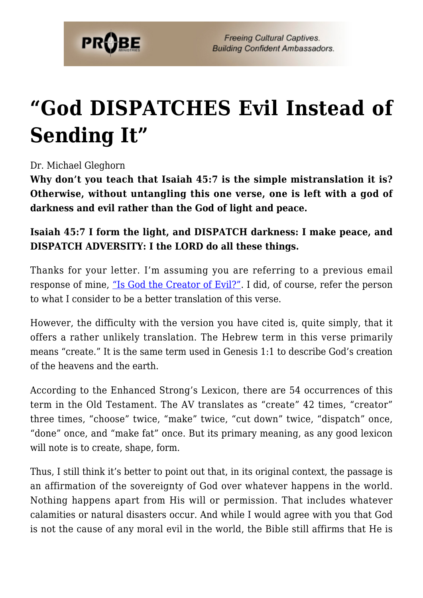

**Freeing Cultural Captives. Building Confident Ambassadors.** 

## **["God DISPATCHES Evil Instead of](https://probe.org/god-dispatches-evil-instead-of-sending-it/) [Sending It"](https://probe.org/god-dispatches-evil-instead-of-sending-it/)**

Dr. Michael Gleghorn

**Why don't you teach that Isaiah 45:7 is the simple mistranslation it is? Otherwise, without untangling this one verse, one is left with a god of darkness and evil rather than the God of light and peace.**

## **Isaiah 45:7 I form the light, and DISPATCH darkness: I make peace, and DISPATCH ADVERSITY: I the LORD do all these things.**

Thanks for your letter. I'm assuming you are referring to a previous email response of mine, ["Is God the Creator of Evil?"](https://www.probe.org/is-god-the-creator-of-evil/). I did, of course, refer the person to what I consider to be a better translation of this verse.

However, the difficulty with the version you have cited is, quite simply, that it offers a rather unlikely translation. The Hebrew term in this verse primarily means "create." It is the same term used in Genesis 1:1 to describe God's creation of the heavens and the earth.

According to the Enhanced Strong's Lexicon, there are 54 occurrences of this term in the Old Testament. The AV translates as "create" 42 times, "creator" three times, "choose" twice, "make" twice, "cut down" twice, "dispatch" once, "done" once, and "make fat" once. But its primary meaning, as any good lexicon will note is to create, shape, form.

Thus, I still think it's better to point out that, in its original context, the passage is an affirmation of the sovereignty of God over whatever happens in the world. Nothing happens apart from His will or permission. That includes whatever calamities or natural disasters occur. And while I would agree with you that God is not the cause of any moral evil in the world, the Bible still affirms that He is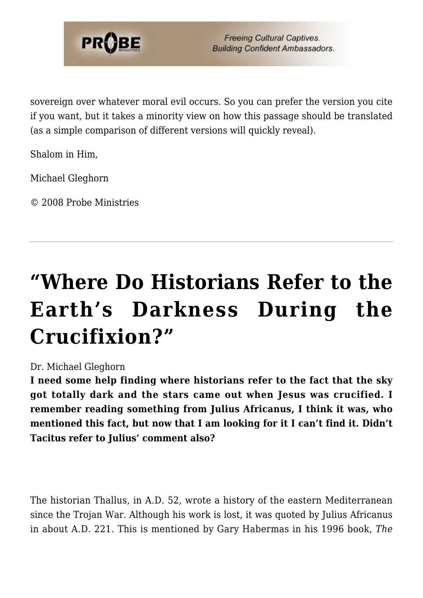

**Freeing Cultural Captives. Building Confident Ambassadors.** 

sovereign over whatever moral evil occurs. So you can prefer the version you cite if you want, but it takes a minority view on how this passage should be translated (as a simple comparison of different versions will quickly reveal).

Shalom in Him,

Michael Gleghorn

© 2008 Probe Ministries

## **["Where Do Historians Refer to the](https://probe.org/where-do-historians-refer-to-the-earths-darkness-during-the-crucifixion/) [Earth's Darkness During the](https://probe.org/where-do-historians-refer-to-the-earths-darkness-during-the-crucifixion/) [Crucifixion?"](https://probe.org/where-do-historians-refer-to-the-earths-darkness-during-the-crucifixion/)**

## Dr. Michael Gleghorn

**I need some help finding where historians refer to the fact that the sky got totally dark and the stars came out when Jesus was crucified. I remember reading something from Julius Africanus, I think it was, who mentioned this fact, but now that I am looking for it I can't find it. Didn't Tacitus refer to Julius' comment also?**

The historian Thallus, in A.D. 52, wrote a history of the eastern Mediterranean since the Trojan War. Although his work is lost, it was quoted by Julius Africanus in about A.D. 221. This is mentioned by Gary Habermas in his 1996 book, *The*